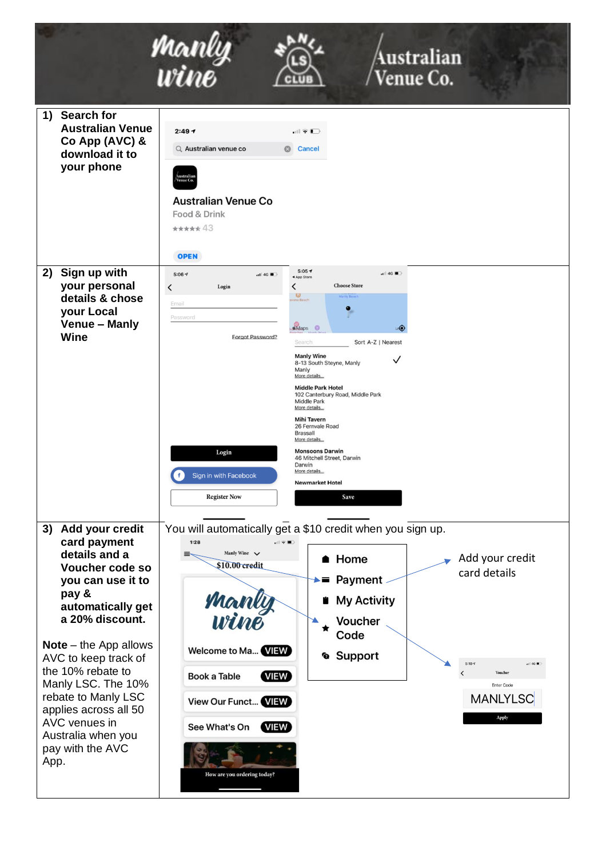